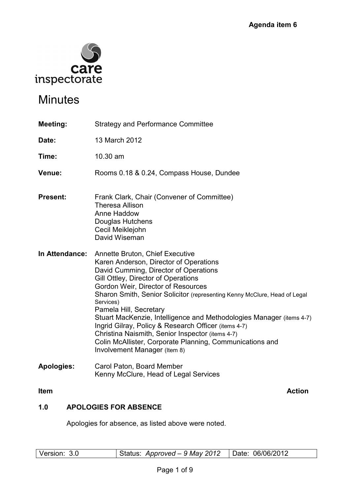

# **Minutes**

| <b>Meeting:</b>   | <b>Strategy and Performance Committee</b>                                                                                                                                                                                                                                                                                                                                                                                                                                                                                                                                                                  |
|-------------------|------------------------------------------------------------------------------------------------------------------------------------------------------------------------------------------------------------------------------------------------------------------------------------------------------------------------------------------------------------------------------------------------------------------------------------------------------------------------------------------------------------------------------------------------------------------------------------------------------------|
| Date:             | 13 March 2012                                                                                                                                                                                                                                                                                                                                                                                                                                                                                                                                                                                              |
| Time:             | 10.30 am                                                                                                                                                                                                                                                                                                                                                                                                                                                                                                                                                                                                   |
| Venue:            | Rooms 0.18 & 0.24, Compass House, Dundee                                                                                                                                                                                                                                                                                                                                                                                                                                                                                                                                                                   |
| <b>Present:</b>   | Frank Clark, Chair (Convener of Committee)<br><b>Theresa Allison</b><br>Anne Haddow<br>Douglas Hutchens<br>Cecil Meiklejohn<br>David Wiseman                                                                                                                                                                                                                                                                                                                                                                                                                                                               |
| In Attendance:    | <b>Annette Bruton, Chief Executive</b><br>Karen Anderson, Director of Operations<br>David Cumming, Director of Operations<br>Gill Ottley, Director of Operations<br>Gordon Weir, Director of Resources<br>Sharon Smith, Senior Solicitor (representing Kenny McClure, Head of Legal<br>Services)<br>Pamela Hill, Secretary<br>Stuart MacKenzie, Intelligence and Methodologies Manager (items 4-7)<br>Ingrid Gilray, Policy & Research Officer (items 4-7)<br>Christina Naismith, Senior Inspector (items 4-7)<br>Colin McAllister, Corporate Planning, Communications and<br>Involvement Manager (Item 8) |
| <b>Apologies:</b> | Carol Paton, Board Member<br>Kenny McClure, Head of Legal Services                                                                                                                                                                                                                                                                                                                                                                                                                                                                                                                                         |

**Item Action Action** Action **Action** 

# **1.0 APOLOGIES FOR ABSENCE**

Apologies for absence, as listed above were noted.

| Version: 3.0 | Status: Approved - 9 May 2012   Date: 06/06/2012 |  |
|--------------|--------------------------------------------------|--|
|              |                                                  |  |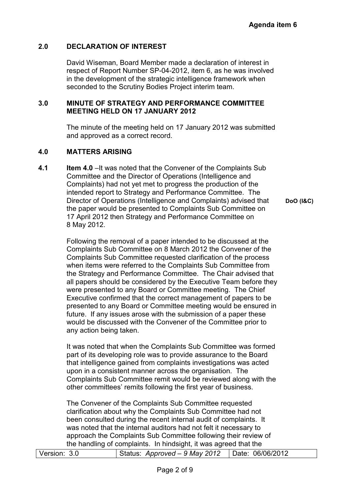# **2.0 DECLARATION OF INTEREST**

David Wiseman, Board Member made a declaration of interest in respect of Report Number SP-04-2012, item 6, as he was involved in the development of the strategic intelligence framework when seconded to the Scrutiny Bodies Project interim team.

#### **3.0 MINUTE OF STRATEGY AND PERFORMANCE COMMITTEE MEETING HELD ON 17 JANUARY 2012**

 The minute of the meeting held on 17 January 2012 was submitted and approved as a correct record.

### **4.0 MATTERS ARISING**

**4.1** Item 4.0 –It was noted that the Convener of the Complaints Sub Committee and the Director of Operations (Intelligence and Complaints) had not yet met to progress the production of the intended report to Strategy and Performance Committee. The Director of Operations (Intelligence and Complaints) advised that the paper would be presented to Complaints Sub Committee on 17 April 2012 then Strategy and Performance Committee on 8 May 2012.

**DoO (I&C)** 

Following the removal of a paper intended to be discussed at the Complaints Sub Committee on 8 March 2012 the Convener of the Complaints Sub Committee requested clarification of the process when items were referred to the Complaints Sub Committee from the Strategy and Performance Committee. The Chair advised that all papers should be considered by the Executive Team before they were presented to any Board or Committee meeting. The Chief Executive confirmed that the correct management of papers to be presented to any Board or Committee meeting would be ensured in future. If any issues arose with the submission of a paper these would be discussed with the Convener of the Committee prior to any action being taken.

It was noted that when the Complaints Sub Committee was formed part of its developing role was to provide assurance to the Board that intelligence gained from complaints investigations was acted upon in a consistent manner across the organisation. The Complaints Sub Committee remit would be reviewed along with the other committees' remits following the first year of business.

The Convener of the Complaints Sub Committee requested clarification about why the Complaints Sub Committee had not been consulted during the recent internal audit of complaints. It was noted that the internal auditors had not felt it necessary to approach the Complaints Sub Committee following their review of the handling of complaints. In hindsight, it was agreed that the

| Version: 3.0 | Status: Approved - 9 May 2012   Date: 06/06/2012 |  |
|--------------|--------------------------------------------------|--|
|              |                                                  |  |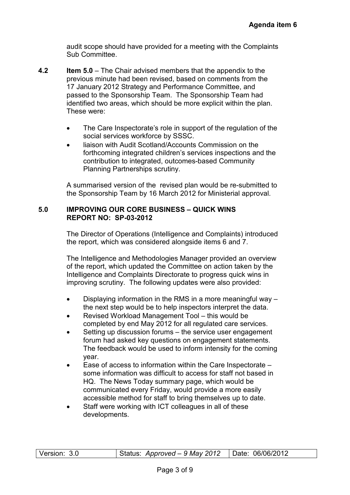audit scope should have provided for a meeting with the Complaints Sub Committee.

- **4.2 Item 5.0**  The Chair advised members that the appendix to the previous minute had been revised, based on comments from the 17 January 2012 Strategy and Performance Committee, and passed to the Sponsorship Team. The Sponsorship Team had identified two areas, which should be more explicit within the plan. These were:
	- The Care Inspectorate's role in support of the regulation of the social services workforce by SSSC.
	- liaison with Audit Scotland/Accounts Commission on the forthcoming integrated children's services inspections and the contribution to integrated, outcomes-based Community Planning Partnerships scrutiny.

A summarised version of the revised plan would be re-submitted to the Sponsorship Team by 16 March 2012 for Ministerial approval.

#### **5.0 IMPROVING OUR CORE BUSINESS – QUICK WINS REPORT NO: SP-03-2012**

The Director of Operations (Intelligence and Complaints) introduced the report, which was considered alongside items 6 and 7.

The Intelligence and Methodologies Manager provided an overview of the report, which updated the Committee on action taken by the Intelligence and Complaints Directorate to progress quick wins in improving scrutiny. The following updates were also provided:

- Displaying information in the RMS in a more meaningful way the next step would be to help inspectors interpret the data.
- Revised Workload Management Tool this would be completed by end May 2012 for all regulated care services.
- Setting up discussion forums the service user engagement forum had asked key questions on engagement statements. The feedback would be used to inform intensity for the coming year.
- Ease of access to information within the Care Inspectorate some information was difficult to access for staff not based in HQ. The News Today summary page, which would be communicated every Friday, would provide a more easily accessible method for staff to bring themselves up to date.
- Staff were working with ICT colleagues in all of these developments.

| Version: 3.0 | Status: Approved - 9 May 2012   Date: 06/06/2012 |  |
|--------------|--------------------------------------------------|--|
|              |                                                  |  |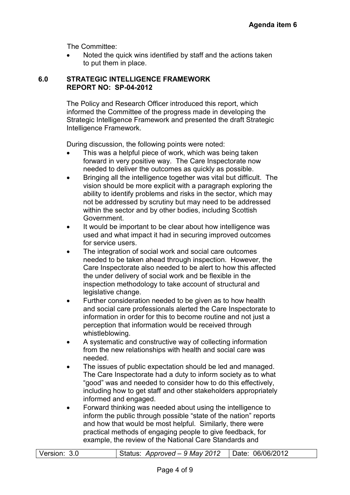The Committee:

Noted the quick wins identified by staff and the actions taken to put them in place.

#### **6.0 STRATEGIC INTELLIGENCE FRAMEWORK REPORT NO: SP-04-2012**

The Policy and Research Officer introduced this report, which informed the Committee of the progress made in developing the Strategic Intelligence Framework and presented the draft Strategic Intelligence Framework.

During discussion, the following points were noted:

- This was a helpful piece of work, which was being taken forward in very positive way. The Care Inspectorate now needed to deliver the outcomes as quickly as possible.
- Bringing all the intelligence together was vital but difficult. The vision should be more explicit with a paragraph exploring the ability to identify problems and risks in the sector, which may not be addressed by scrutiny but may need to be addressed within the sector and by other bodies, including Scottish Government.
- It would be important to be clear about how intelligence was used and what impact it had in securing improved outcomes for service users.
- The integration of social work and social care outcomes needed to be taken ahead through inspection. However, the Care Inspectorate also needed to be alert to how this affected the under delivery of social work and be flexible in the inspection methodology to take account of structural and legislative change.
- Further consideration needed to be given as to how health and social care professionals alerted the Care Inspectorate to information in order for this to become routine and not just a perception that information would be received through whistleblowing.
- A systematic and constructive way of collecting information from the new relationships with health and social care was needed.
- The issues of public expectation should be led and managed. The Care Inspectorate had a duty to inform society as to what "good" was and needed to consider how to do this effectively, including how to get staff and other stakeholders appropriately informed and engaged.
- Forward thinking was needed about using the intelligence to inform the public through possible "state of the nation" reports and how that would be most helpful. Similarly, there were practical methods of engaging people to give feedback, for example, the review of the National Care Standards and

| Version: 3.0 | Status: Approved - 9 May 2012   Date: 06/06/2012 |  |
|--------------|--------------------------------------------------|--|
|              |                                                  |  |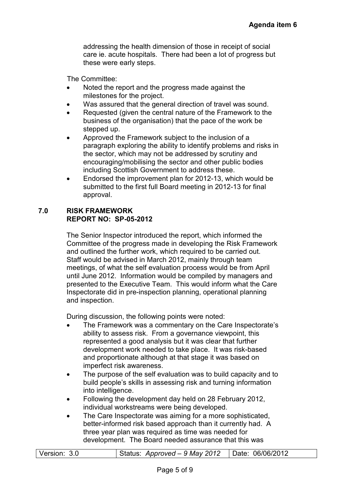addressing the health dimension of those in receipt of social care ie. acute hospitals. There had been a lot of progress but these were early steps.

The Committee:

- Noted the report and the progress made against the milestones for the project.
- Was assured that the general direction of travel was sound.
- Requested (given the central nature of the Framework to the business of the organisation) that the pace of the work be stepped up.
- Approved the Framework subject to the inclusion of a paragraph exploring the ability to identify problems and risks in the sector, which may not be addressed by scrutiny and encouraging/mobilising the sector and other public bodies including Scottish Government to address these.
- Endorsed the improvement plan for 2012-13, which would be submitted to the first full Board meeting in 2012-13 for final approval.

# **7.0 RISK FRAMEWORK REPORT NO: SP-05-2012**

The Senior Inspector introduced the report, which informed the Committee of the progress made in developing the Risk Framework and outlined the further work, which required to be carried out. Staff would be advised in March 2012, mainly through team meetings, of what the self evaluation process would be from April until June 2012. Information would be compiled by managers and presented to the Executive Team. This would inform what the Care Inspectorate did in pre-inspection planning, operational planning and inspection.

During discussion, the following points were noted:

- The Framework was a commentary on the Care Inspectorate's ability to assess risk. From a governance viewpoint, this represented a good analysis but it was clear that further development work needed to take place. It was risk-based and proportionate although at that stage it was based on imperfect risk awareness.
- The purpose of the self evaluation was to build capacity and to build people's skills in assessing risk and turning information into intelligence.
- Following the development day held on 28 February 2012, individual workstreams were being developed.
- The Care Inspectorate was aiming for a more sophisticated. better-informed risk based approach than it currently had. A three year plan was required as time was needed for development. The Board needed assurance that this was

| Version: 3.0 | Status: Approved - 9 May 2012   Date: 06/06/2012 |  |
|--------------|--------------------------------------------------|--|
|              |                                                  |  |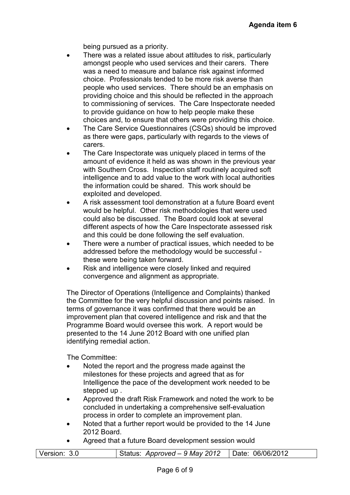being pursued as a priority.

- There was a related issue about attitudes to risk, particularly amongst people who used services and their carers. There was a need to measure and balance risk against informed choice. Professionals tended to be more risk averse than people who used services. There should be an emphasis on providing choice and this should be reflected in the approach to commissioning of services. The Care Inspectorate needed to provide guidance on how to help people make these choices and, to ensure that others were providing this choice.
- The Care Service Questionnaires (CSQs) should be improved as there were gaps, particularly with regards to the views of carers.
- The Care Inspectorate was uniquely placed in terms of the amount of evidence it held as was shown in the previous year with Southern Cross. Inspection staff routinely acquired soft intelligence and to add value to the work with local authorities the information could be shared. This work should be exploited and developed.
- A risk assessment tool demonstration at a future Board event would be helpful. Other risk methodologies that were used could also be discussed. The Board could look at several different aspects of how the Care Inspectorate assessed risk and this could be done following the self evaluation.
- There were a number of practical issues, which needed to be addressed before the methodology would be successful these were being taken forward.
- Risk and intelligence were closely linked and required convergence and alignment as appropriate.

The Director of Operations (Intelligence and Complaints) thanked the Committee for the very helpful discussion and points raised. In terms of governance it was confirmed that there would be an improvement plan that covered intelligence and risk and that the Programme Board would oversee this work. A report would be presented to the 14 June 2012 Board with one unified plan identifying remedial action.

The Committee:

- Noted the report and the progress made against the milestones for these projects and agreed that as for Intelligence the pace of the development work needed to be stepped up .
- Approved the draft Risk Framework and noted the work to be concluded in undertaking a comprehensive self-evaluation process in order to complete an improvement plan.
- Noted that a further report would be provided to the 14 June 2012 Board.
- Agreed that a future Board development session would

| Version: 3.0 | Status: Approved - 9 May 2012   Date: 06/06/2012 |  |
|--------------|--------------------------------------------------|--|
|              |                                                  |  |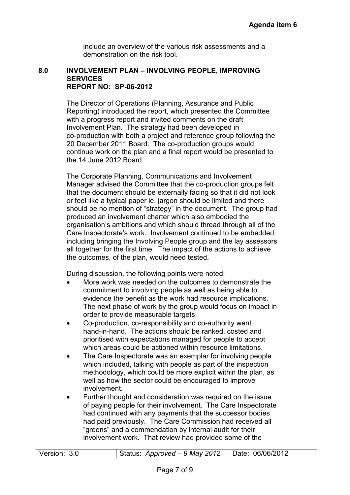include an overview of the various risk assessments and a demonstration on the risk tool.

#### **8.0 INVOLVEMENT PLAN – INVOLVING PEOPLE, IMPROVING SERVICES REPORT NO: SP-06-2012**

The Director of Operations (Planning, Assurance and Public Reporting) introduced the report, which presented the Committee with a progress report and invited comments on the draft Involvement Plan. The strategy had been developed in co-production with both a project and reference group following the 20 December 2011 Board. The co-production groups would continue work on the plan and a final report would be presented to the 14 June 2012 Board.

The Corporate Planning, Communications and Involvement Manager advised the Committee that the co-production groups felt that the document should be externally facing so that it did not look or feel like a typical paper ie. jargon should be limited and there should be no mention of "strategy" in the document. The group had produced an involvement charter which also embodied the organisation's ambitions and which should thread through all of the Care Inspectorate's work. Involvement continued to be embedded including bringing the Involving People group and the lay assessors all together for the first time. The impact of the actions to achieve the outcomes, of the plan, would need tested.

During discussion, the following points were noted:

- More work was needed on the outcomes to demonstrate the commitment to involving people as well as being able to evidence the benefit as the work had resource implications. The next phase of work by the group would focus on impact in order to provide measurable targets.
- Co-production, co-responsibility and co-authority went hand-in-hand. The actions should be ranked, costed and prioritised with expectations managed for people to accept which areas could be actioned within resource limitations.
- The Care Inspectorate was an exemplar for involving people which included, talking with people as part of the inspection methodology, which could be more explicit within the plan, as well as how the sector could be encouraged to improve involvement.
- Further thought and consideration was required on the issue of paying people for their involvement. The Care Inspectorate had continued with any payments that the successor bodies had paid previously. The Care Commission had received all "greens" and a commendation by internal audit for their involvement work. That review had provided some of the

| Version: 3.0 | Status: Approved - 9 May 2012   Date: 06/06/2012 |  |
|--------------|--------------------------------------------------|--|
|              |                                                  |  |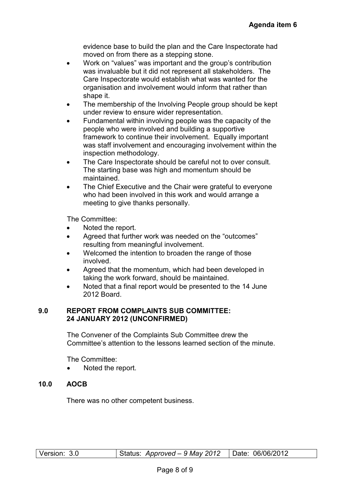evidence base to build the plan and the Care Inspectorate had moved on from there as a stepping stone.

- Work on "values" was important and the group's contribution was invaluable but it did not represent all stakeholders. The Care Inspectorate would establish what was wanted for the organisation and involvement would inform that rather than shape it.
- The membership of the Involving People group should be kept under review to ensure wider representation.
- Fundamental within involving people was the capacity of the people who were involved and building a supportive framework to continue their involvement. Equally important was staff involvement and encouraging involvement within the inspection methodology.
- The Care Inspectorate should be careful not to over consult. The starting base was high and momentum should be maintained.
- The Chief Executive and the Chair were grateful to everyone who had been involved in this work and would arrange a meeting to give thanks personally.

The Committee:

- Noted the report.
- Agreed that further work was needed on the "outcomes" resulting from meaningful involvement.
- Welcomed the intention to broaden the range of those involved.
- Agreed that the momentum, which had been developed in taking the work forward, should be maintained.
- Noted that a final report would be presented to the 14 June 2012 Board.

### **9.0 REPORT FROM COMPLAINTS SUB COMMITTEE: 24 JANUARY 2012 (UNCONFIRMED)**

The Convener of the Complaints Sub Committee drew the Committee's attention to the lessons learned section of the minute.

The Committee:

Noted the report.

# **10.0 AOCB**

There was no other competent business.